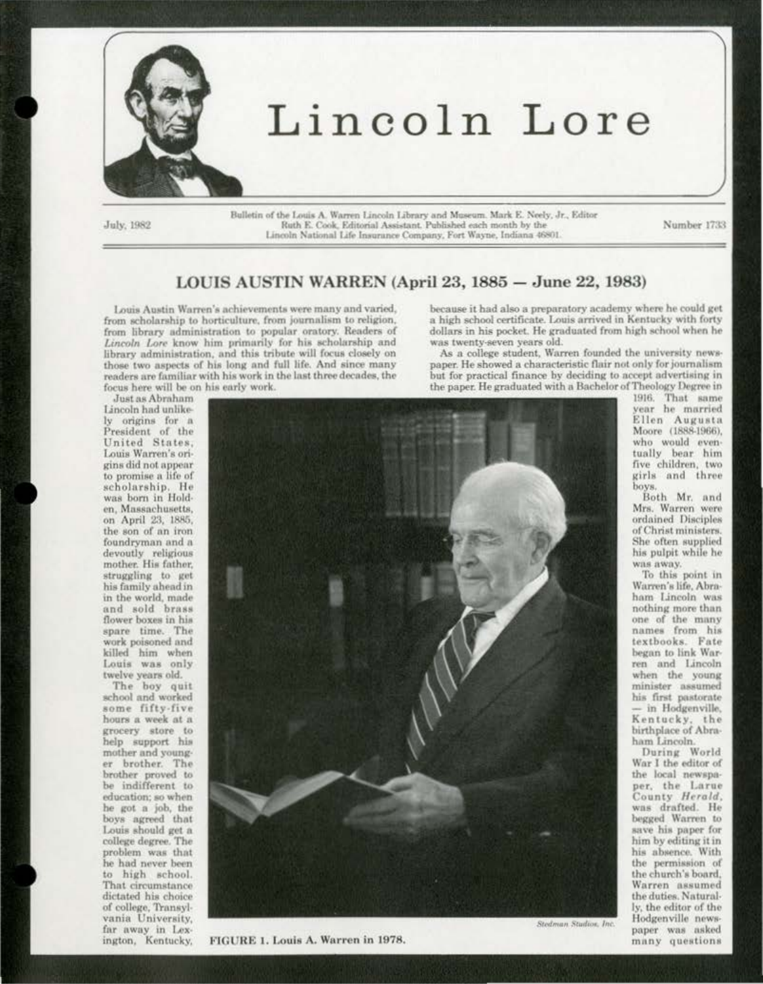

July, 1982

Bulletin of the Louis A. Warren Lincoln Library and Museum. Mark E. Neely, Jr., Editor Ruth E. Cook, Editorial Assistant, Published each month by the Lincoln National Life Insurance Company, Fort Wayne, Indiana 46801.

Number 1733

## LOUIS AUSTIN WARREN (April 23, 1885 - June 22, 1983)

Louis Austin Warren's achievements were many and varied, from scholarship to horticulture, from journalism to religion, from library administration to popular oratory. Readers of Lincoln Lore know him primarily for his scholarship and library administration, and this tribute will focus closely on those two aspects of his long and full life. And since many readers are familiar with his work in the last three decades, the focus here will be on his early work.

because it had also a preparatory academy where he could get a high school certificate. Louis arrived in Kentucky with forty dollars in his pocket. He graduated from high school when he was twenty-seven years old.

As a college student, Warren founded the university newspaper. He showed a characteristic flair not only for journalism but for practical finance by deciding to accept advertising in the paper. He graduated with a Bachelor of Theology Degree in

Just as Abraham Lincoln had unlikely origins for a President of the United States. Louis Warren's origins did not appear to promise a life of scholarship. He was born in Holden, Massachusetts, on April 23, 1885, the son of an iron foundryman and a devoutly religious mother. His father, struggling to get his family ahead in in the world, made and sold brass flower boxes in his spare time. The work poisoned and killed him when Louis was only twelve years old.

The boy quit school and worked some fifty-five hours a week at a grocery store to help support his mother and younger brother. The brother proved to be indifferent to education; so when he got a job, the boys agreed that Louis should get a college degree. The problem was that he had never been to high school. That circumstance dictated his choice of college, Transylvania University. far away in Lexington, Kentucky,



FIGURE 1. Louis A. Warren in 1978.

1916. That same year he married Ellen Augusta Moore (1888-1966). who would eventually bear him five children, two girls and three boys.

Both Mr. and Mrs. Warren were ordained Disciples of Christ ministers. She often supplied his pulpit while he was away.

To this point in Warren's life, Abraham Lincoln was nothing more than one of the many names from his textbooks. Fate began to link Warren and Lincoln when the young minister assumed his first pastorate - in Hodgenville, Kentucky, the birthplace of Abraham Lincoln.

During World War I the editor of the local newspaper, the Larue County Herald, was drafted. He begged Warren to save his paper for him by editing it in his absence. With the permission of the church's board. Warren assumed the duties. Naturally, the editor of the Hodgenville newspaper was asked many questions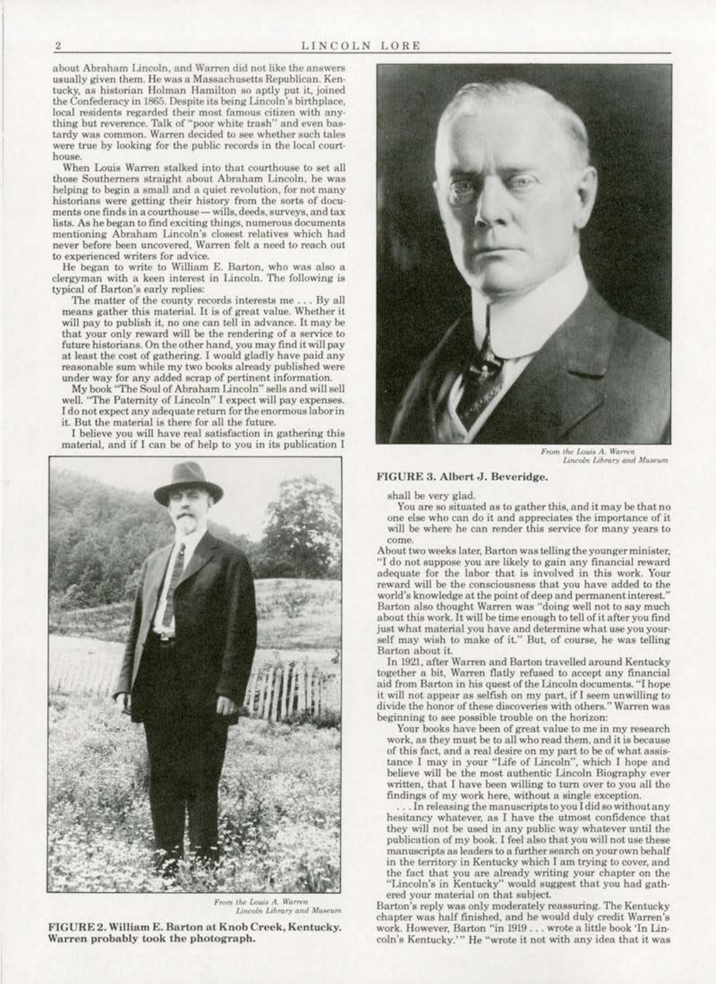about Abraham Lincoln, and Warren did not like the answers usually given them. He was a Massachusetts Republican. Ken· tucky. as historian Holman Hamilton so aptly put it, joined the Confederacy in 1865. Despite its being Lincoln's birthplace,<br>local residents regarded their most famous citizen with anything but reverence. Talk of "poor white trash" and even bastardy was common. Warren decided to see whether such tales<br>were true by looking for the public records in the local courthouse.

When Louis Warren stalked into that courthouse to set all those Southerners straight about Abraham Lincoln, he was helping to begin a small and a quiet revolution, for not many historians were getting their history from the sorts of docu· ments one finds in a courthouse - wills, deeds, surveys, and tax lists. As he began to find exciting things, numerous documents<br>mentioning Abraham Lincoln's closest relatives which had never before been uncovered. Warren felt a need to reach out to experienced writers for advice.<br>He began to write to William E. Barton, who was also a

clergyman with a keen interest in Lincoln. The following is typical of Barton's early replies:

The matter of the county records interests me . . . By all means gather this material. It is of great value. Whether it wiU pay to publish it. no one can tell in advance. It may be that your only reward wiU be the rendering of a service to future historians. On the other hand, you may find it will pay at least the cost of gathering. I would gladly have paid any<br>reasonable sum while my two books already published were under way for any added scrap of pertinent information.

My book "The Soul of Abraham Lincoln" sells and will sell well. "The Paternity of Lincoln'' I expect will pay expenses. I do not expect any adequate return for the enormous labor in it. But the material is there for all the future.

J believe you will have real satisfaction in gathering this material, and if I can be of help to you in its publication I



From the Louis A. Warren<br>Lincoln Library and Museum



*From the Louis A. Warren*<br>Lincoln Library and Museum

## FIGURE 3. Albert J. Beveridge.

shall be very glad.

You are so situated as to gather this, and it may be that no one else who can do it and appreciates the importance of it will be where he can render this service for many years to come

About two weeks later, Barton was telling the younger minister, "I do not suppose you are likely to gain any financial reward adequate for the labor that is involved in this work. Your reward will be the consciousness that you have added to the world's knowledge at the point of deep and permanent interest.'' Barton also thought Warren was "doing well not to say much about this work. It will be time enough to tell of it after you find just what material you have and determine what use you your· self may wish to make of it." But, of course, he was telling Barton aboul it..

In 1921, after Warren and Barton travelled around Kentucky<br>together a bit, Warren flatly refused to accept any financial aid from Barton in his quest of the Lincoln documents. "I hope it will not appear as selfish on my part, if I seem unwilling to divide the honor of these discoveries with others." Warren was beginning to see possible trouble on the horizon:

Your books have been of great value to me in my research work, as they must be to all who read them, and it is because<br>of this fact, and a real desire on my part to be of what assistance I may in your "Life of Lincoln", which I hope and believe wiU be the most authentic Lincoln Biography ever written, that I have been willing to turn over to you all the findings of my work here, without a single exception.

. In releasing the manuscripts to you I did so without any hesitancy whatever, as I have the utmost confidence that they will not be used in any public way whatever until the publication of my book. I feel also that you will not use these manuscripts as leaders to a further search on your own behalf in the territory in Kentucky which I am trying to cover, and<br>the fact that you are already writing your chapter on the "Lincoln's in Kentucky" would suggest that you had gathered your material on that subject.<br>Barton's reply was only moderately reassuring. The Kentucky

chapter was half finished, and he would duly credit Warren's work. However. Barton ''in 1919 .. , wrote a little book 'In Lin· coln's Kentucky.'" He "wrote it not with any idea that it was

FIGURE 2. William E. Barton at Knob Creek, Kentucky. Warren probably took the photograph.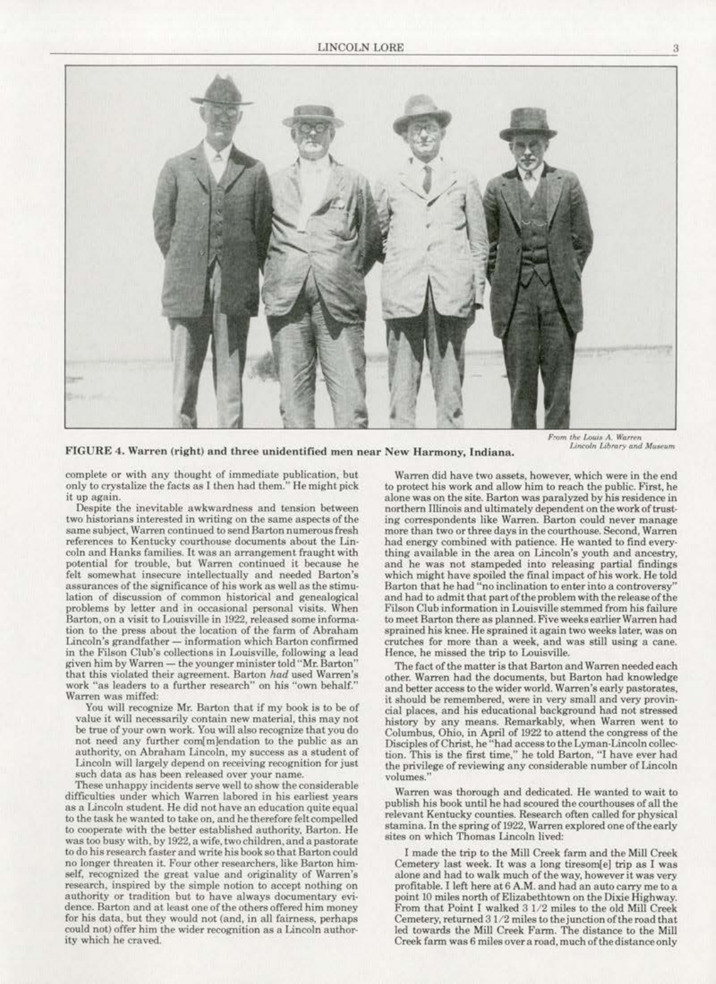

FIGURE 4. Warren (right) and three unidentified men near New Harmony, Indiana.

*From the Louis A. Warren*<br>*Lincoln Library and Museum* 

complete or with any thought of immediate publication, but only to crystalize the facts as I then had them." He might pick it up again.

Despite the inevitable awkwardness and tension between two historians interested in writing on the same aspects of the same subject, Warren continued to send Barton numerous fresh references to Kentucky courthouse documents about the Lin· coin and Hanks families. It was an arrangement fraught with potential for trouble, but Warren continued it because he felt somewhat insecure intellectually and needed Barton's assurances of the significance of his work as well as the stimulation of discussion of common historical and genealogical problems by letter and in oceasional personal visits. When Barton, on a visit to Louisville in 1922, released some information to the press about the location of the farm of Abraham Lincoln's grandfather - information which Barton confirmed in the Filson Club's collections in Louisvi11e. following a lead given him by Warren - the younger minister told "Mr. Barton" that this violated their agreement. Barton had used Warren's work "as leaders to a further research" on his "own behalf." Warren was miffed:

You will recognize Mr. Barton that if my book is to be of value it will necessarily contain new material, this may not be true of your own work. You will also recognize that you do<br>not need any further com[m]endation to the public as an authority, on Abraham Lincoln, my success as a student of Lincoln will largely depend on receiving recognition for just such data as has been released over your name.

These unhappy incidents serve well to show the considerable difficulties under which Warren labored in his earliest years as a Lincoln student. He did not have an education quite equal to the task he wanted to take on, and he therefore felt compelled to cooperate with the better established authority. Barton. He was too busy with, by 1922, a wife, two children, and a pastorate to do his research faster and write his book so that Barton could no longer threaten it. Four other researchers, like Barton himself, recognized the great value and originality of Warren's research. inspired by the simple notion to accept nothing on authority or tradition but to have always documentary evi· dence. Barton and at least one of the others offered him money for his data, but they would not (and, in all fairness. perhaps could not) offer him the wider recognition as a Uncoln authority which he craved.

Warren did have two assets, however, which were in the end to protect his work and allow him to reach the public. First, he alone was on the site. Barton was paralyzed by his residence in northern Illinois and ultimately dependent on the work of trusting correspondents like Warren. Barton could never manage more than two or three days in the courthouse. Second, Warren had energy combined with patience. He wanted to find every· thing available in the area on Lincoln's youth and ancestry, and he was not stampeded into releasing partial findings which might have spoiled the final impact of his work. He told Barton that he had "no inclination to enter into a controversy" and had to admit that part of the problem with the release of the Filson Club information in Louisville stemmed from his failure to meet Barton there as planned. Five weeks earlier Warren had sprained his knee. He sprained it again two weeks later, was on crutches for more than a week, and was still using a cane. Hence. he missed the trip to Louisville.

The fact of the matter is that Barton and Warren needed each other. Warren had the documents, but Barton had knowledge and better access to the wider world. Warren's early pastorates, it should be remembered, were in very small and very provin· cial places, and his educational background had not stressed history by any means. Remarkably, wben Warren went to Columbus, Ohio, in April of 1922 *10* attend the congress of the Columbus, Ohio, in April of 1922 to attend the congress of the<br>Disciples of Christ, he "had access to the Lyman-Lincoln collec-<br>tion. This is the first time," he told Barton, "I have ever had the privilege of reviewing any considerable number of Lincoln volumes."

Warren was thorough and dedicated. He wanted to wait to publish his book until he had scoured the courthouses of all the relevant Kentucky counties. Research often called for physical stamina. In the spring of 1922, Warren explored one of the early sites on which Thomas Lincoln lived:

I made the trip to the Mill Creek farm and the Mill Creek Cemetery last week. It was a long tiresom(e] trip as I was alone and had to walk much of the way, however it was very<br>profitable. I left here at 6 A.M. and had an auto carry me to a point 10 miles north of Elizabethtown on the Dixie Highway. From that Point I walked 3 1/2 miles to the old Mill Creek Cemetery, returned 31/2 miles to the junction of the road that led towards the Mill Creek Farm. The distance to the Mill Creek farm was 6 miles over a road, much of the distance only